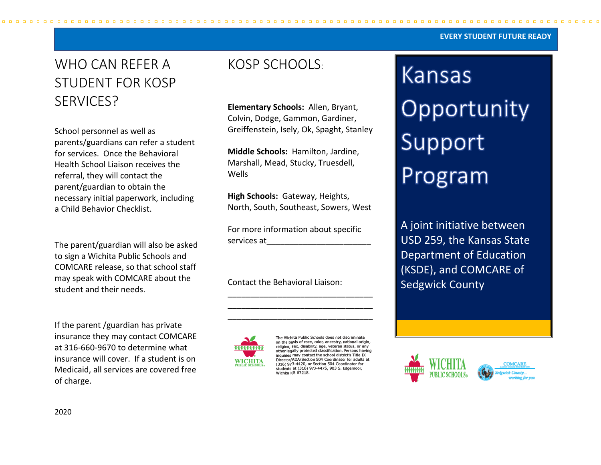#### **EVERY STUDENT FUTURE READY**

# WHO CAN REFER A STUDENT FOR KOSP SERVICES?

School personnel as well as parents/guardians can refer a student for services. Once the Behavioral Health School Liaison receives the referral, they will contact the parent/guardian to obtain the necessary initial paperwork, including a Child Behavior Checklist.

The parent/guardian will also be asked to sign a Wichita Public Schools and COMCARE release, so that school staff may speak with COMCARE about the student and their needs.

If the parent /guardian has private insurance they may contact COMCARE at 316-660-9670 to determine what insurance will cover. If a student is on Medicaid, all services are covered free of charge.

## KOSP SCHOOLS:

**Elementary Schools:** Allen, Bryant, Colvin, Dodge, Gammon, Gardiner, Greiffenstein, Isely, Ok, Spaght, Stanley

**Middle Schools:** Hamilton, Jardine, Marshall, Mead, Stucky, Truesdell, Wells

**High Schools:** Gateway, Heights, North, South, Southeast, Sowers, West

For more information about specific services at\_\_\_\_\_\_\_\_\_\_\_\_\_\_\_\_\_\_\_\_\_\_\_

\_\_\_\_\_\_\_\_\_\_\_\_\_\_\_\_\_\_\_\_\_\_\_\_\_\_\_\_\_\_\_\_ \_\_\_\_\_\_\_\_\_\_\_\_\_\_\_\_\_\_\_\_\_\_\_\_\_\_\_\_\_\_\_\_ \_\_\_\_\_\_\_\_\_\_\_\_\_\_\_\_\_\_\_\_\_\_\_\_\_\_\_\_\_\_\_\_

Contact the Behavioral Liaison:



The Wichita Public Schools does not discriminate on the basis of race, color, ancestry, national origin, or<br>Teligion, sex, disability, age, veteran status, or any<br>other legally protected classification. Persons having inquiries may contact the school district's Title IX Director/ADA/Section 504 Coordinator for adults at (316) 973-4420, or Section 504 Coordinator for (316) 973-4420, or Section 304 Coordinator for<br>students at (316) 973-4475, 903 S. Edgemoor,<br>Wichita KS 67218.

Kansas Opportunity Support Program

A joint initiative between USD 259, the Kansas State Department of Education (KSDE), and COMCARE of Sedgwick County